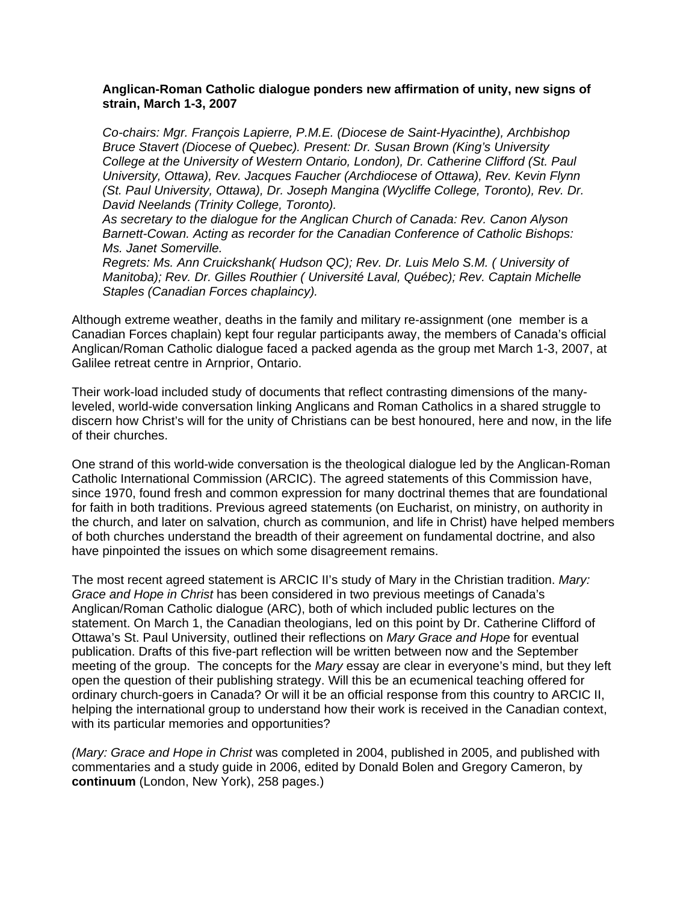## **Anglican-Roman Catholic dialogue ponders new affirmation of unity, new signs of strain, March 1-3, 2007**

*Co-chairs: Mgr. François Lapierre, P.M.E. (Diocese de Saint-Hyacinthe), Archbishop Bruce Stavert (Diocese of Quebec). Present: Dr. Susan Brown (King's University College at the University of Western Ontario, London), Dr. Catherine Clifford (St. Paul University, Ottawa), Rev. Jacques Faucher (Archdiocese of Ottawa), Rev. Kevin Flynn (St. Paul University, Ottawa), Dr. Joseph Mangina (Wycliffe College, Toronto), Rev. Dr. David Neelands (Trinity College, Toronto).* 

*As secretary to the dialogue for the Anglican Church of Canada: Rev. Canon Alyson Barnett-Cowan. Acting as recorder for the Canadian Conference of Catholic Bishops: Ms. Janet Somerville.* 

*Regrets: Ms. Ann Cruickshank( Hudson QC); Rev. Dr. Luis Melo S.M. ( University of Manitoba); Rev. Dr. Gilles Routhier ( Université Laval, Québec); Rev. Captain Michelle Staples (Canadian Forces chaplaincy).* 

Although extreme weather, deaths in the family and military re-assignment (one member is a Canadian Forces chaplain) kept four regular participants away, the members of Canada's official Anglican/Roman Catholic dialogue faced a packed agenda as the group met March 1-3, 2007, at Galilee retreat centre in Arnprior, Ontario.

Their work-load included study of documents that reflect contrasting dimensions of the manyleveled, world-wide conversation linking Anglicans and Roman Catholics in a shared struggle to discern how Christ's will for the unity of Christians can be best honoured, here and now, in the life of their churches.

One strand of this world-wide conversation is the theological dialogue led by the Anglican-Roman Catholic International Commission (ARCIC). The agreed statements of this Commission have, since 1970, found fresh and common expression for many doctrinal themes that are foundational for faith in both traditions. Previous agreed statements (on Eucharist, on ministry, on authority in the church, and later on salvation, church as communion, and life in Christ) have helped members of both churches understand the breadth of their agreement on fundamental doctrine, and also have pinpointed the issues on which some disagreement remains.

The most recent agreed statement is ARCIC II's study of Mary in the Christian tradition. *Mary: Grace and Hope in Christ* has been considered in two previous meetings of Canada's Anglican/Roman Catholic dialogue (ARC), both of which included public lectures on the statement. On March 1, the Canadian theologians, led on this point by Dr. Catherine Clifford of Ottawa's St. Paul University, outlined their reflections on *Mary Grace and Hope* for eventual publication. Drafts of this five-part reflection will be written between now and the September meeting of the group. The concepts for the *Mary* essay are clear in everyone's mind, but they left open the question of their publishing strategy. Will this be an ecumenical teaching offered for ordinary church-goers in Canada? Or will it be an official response from this country to ARCIC II, helping the international group to understand how their work is received in the Canadian context, with its particular memories and opportunities?

*(Mary: Grace and Hope in Christ* was completed in 2004, published in 2005, and published with commentaries and a study guide in 2006, edited by Donald Bolen and Gregory Cameron, by **continuum** (London, New York), 258 pages.)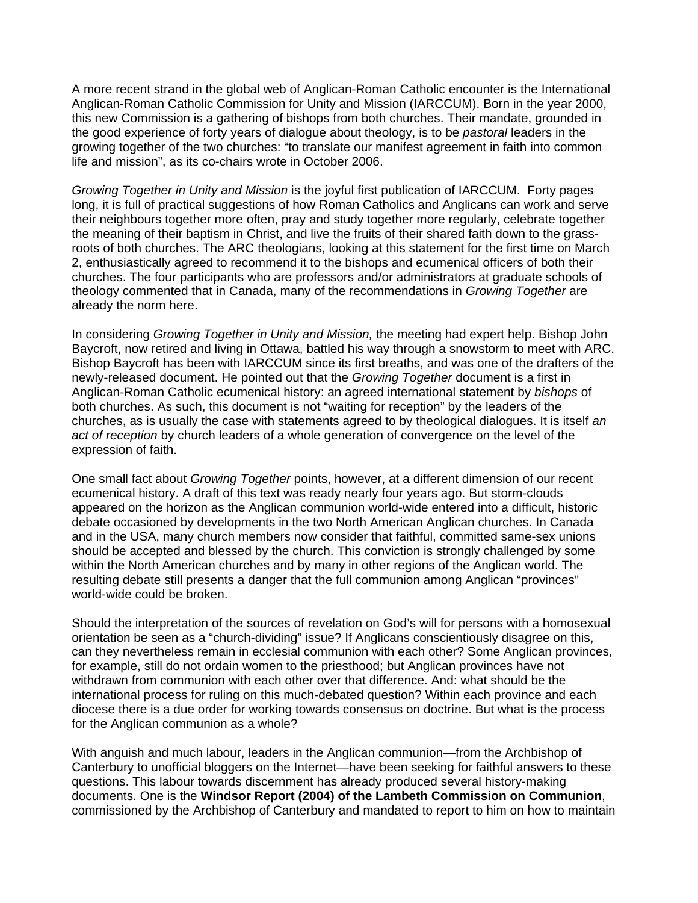A more recent strand in the global web of Anglican-Roman Catholic encounter is the International Anglican-Roman Catholic Commission for Unity and Mission (IARCCUM). Born in the year 2000, this new Commission is a gathering of bishops from both churches. Their mandate, grounded in the good experience of forty years of dialogue about theology, is to be *pastoral* leaders in the growing together of the two churches: "to translate our manifest agreement in faith into common life and mission", as its co-chairs wrote in October 2006.

*Growing Together in Unity and Mission* is the joyful first publication of IARCCUM. Forty pages long, it is full of practical suggestions of how Roman Catholics and Anglicans can work and serve their neighbours together more often, pray and study together more regularly, celebrate together the meaning of their baptism in Christ, and live the fruits of their shared faith down to the grassroots of both churches. The ARC theologians, looking at this statement for the first time on March 2, enthusiastically agreed to recommend it to the bishops and ecumenical officers of both their churches. The four participants who are professors and/or administrators at graduate schools of theology commented that in Canada, many of the recommendations in *Growing Together* are already the norm here.

In considering *Growing Together in Unity and Mission,* the meeting had expert help. Bishop John Baycroft, now retired and living in Ottawa, battled his way through a snowstorm to meet with ARC. Bishop Baycroft has been with IARCCUM since its first breaths, and was one of the drafters of the newly-released document. He pointed out that the *Growing Together* document is a first in Anglican-Roman Catholic ecumenical history: an agreed international statement by *bishops* of both churches. As such, this document is not "waiting for reception" by the leaders of the churches, as is usually the case with statements agreed to by theological dialogues. It is itself *an act of reception* by church leaders of a whole generation of convergence on the level of the expression of faith.

One small fact about *Growing Together* points, however, at a different dimension of our recent ecumenical history. A draft of this text was ready nearly four years ago. But storm-clouds appeared on the horizon as the Anglican communion world-wide entered into a difficult, historic debate occasioned by developments in the two North American Anglican churches. In Canada and in the USA, many church members now consider that faithful, committed same-sex unions should be accepted and blessed by the church. This conviction is strongly challenged by some within the North American churches and by many in other regions of the Anglican world. The resulting debate still presents a danger that the full communion among Anglican "provinces" world-wide could be broken.

Should the interpretation of the sources of revelation on God's will for persons with a homosexual orientation be seen as a "church-dividing" issue? If Anglicans conscientiously disagree on this, can they nevertheless remain in ecclesial communion with each other? Some Anglican provinces, for example, still do not ordain women to the priesthood; but Anglican provinces have not withdrawn from communion with each other over that difference. And: what should be the international process for ruling on this much-debated question? Within each province and each diocese there is a due order for working towards consensus on doctrine. But what is the process for the Anglican communion as a whole?

With anguish and much labour, leaders in the Anglican communion—from the Archbishop of Canterbury to unofficial bloggers on the Internet—have been seeking for faithful answers to these questions. This labour towards discernment has already produced several history-making documents. One is the **Windsor Report (2004) of the Lambeth Commission on Communion**, commissioned by the Archbishop of Canterbury and mandated to report to him on how to maintain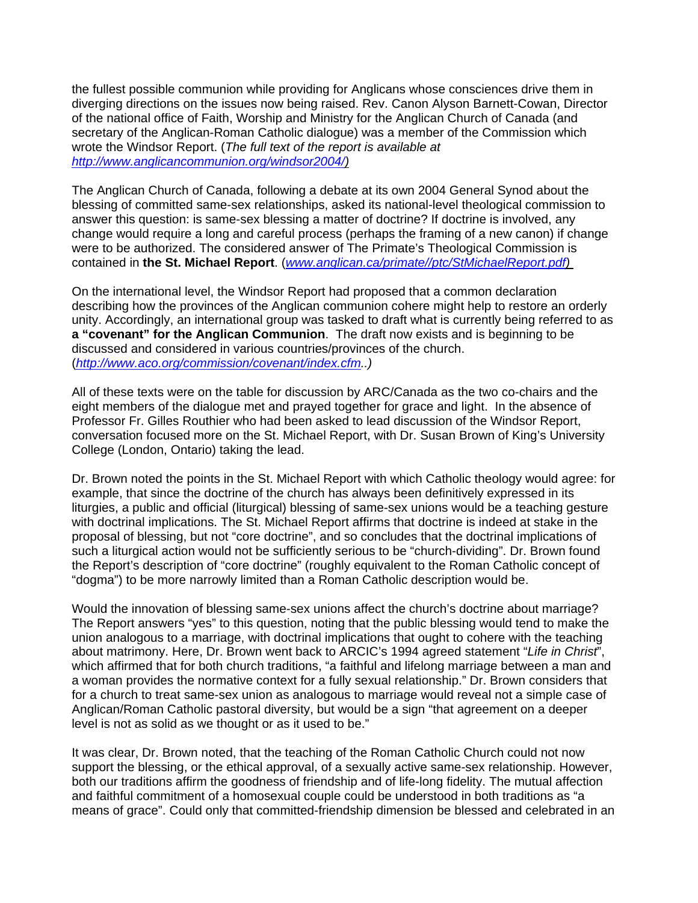the fullest possible communion while providing for Anglicans whose consciences drive them in diverging directions on the issues now being raised. Rev. Canon Alyson Barnett-Cowan, Director of the national office of Faith, Worship and Ministry for the Anglican Church of Canada (and secretary of the Anglican-Roman Catholic dialogue) was a member of the Commission which wrote the Windsor Report. (*The full text of the report is available at [http://www.anglicancommunion.org/windsor2004/\)](http://www.anglicancommunion.org/windsor2004/)*

The Anglican Church of Canada, following a debate at its own 2004 General Synod about the blessing of committed same-sex relationships, asked its national-level theological commission to answer this question: is same-sex blessing a matter of doctrine? If doctrine is involved, any change would require a long and careful process (perhaps the framing of a new canon) if change were to be authorized. The considered answer of The Primate's Theological Commission is contained in **the St. Michael Report**. (*[www.anglican.ca/primate//ptc/StMichaelReport.pdf](http://www.anglican.ca/primate//ptc/StMichaelReport.pdf))* 

On the international level, the Windsor Report had proposed that a common declaration describing how the provinces of the Anglican communion cohere might help to restore an orderly unity. Accordingly, an international group was tasked to draft what is currently being referred to as **a "covenant" for the Anglican Communion**. The draft now exists and is beginning to be discussed and considered in various countries/provinces of the church. (*[http://www.aco.org/commission/covenant/index.cfm.](http://www.aco.org/commission/covenant/index.cfm).)* 

All of these texts were on the table for discussion by ARC/Canada as the two co-chairs and the eight members of the dialogue met and prayed together for grace and light. In the absence of Professor Fr. Gilles Routhier who had been asked to lead discussion of the Windsor Report, conversation focused more on the St. Michael Report, with Dr. Susan Brown of King's University College (London, Ontario) taking the lead.

Dr. Brown noted the points in the St. Michael Report with which Catholic theology would agree: for example, that since the doctrine of the church has always been definitively expressed in its liturgies, a public and official (liturgical) blessing of same-sex unions would be a teaching gesture with doctrinal implications. The St. Michael Report affirms that doctrine is indeed at stake in the proposal of blessing, but not "core doctrine", and so concludes that the doctrinal implications of such a liturgical action would not be sufficiently serious to be "church-dividing". Dr. Brown found the Report's description of "core doctrine" (roughly equivalent to the Roman Catholic concept of "dogma") to be more narrowly limited than a Roman Catholic description would be.

Would the innovation of blessing same-sex unions affect the church's doctrine about marriage? The Report answers "yes" to this question, noting that the public blessing would tend to make the union analogous to a marriage, with doctrinal implications that ought to cohere with the teaching about matrimony. Here, Dr. Brown went back to ARCIC's 1994 agreed statement "*Life in Christ*", which affirmed that for both church traditions, "a faithful and lifelong marriage between a man and a woman provides the normative context for a fully sexual relationship." Dr. Brown considers that for a church to treat same-sex union as analogous to marriage would reveal not a simple case of Anglican/Roman Catholic pastoral diversity, but would be a sign "that agreement on a deeper level is not as solid as we thought or as it used to be."

It was clear, Dr. Brown noted, that the teaching of the Roman Catholic Church could not now support the blessing, or the ethical approval, of a sexually active same-sex relationship. However, both our traditions affirm the goodness of friendship and of life-long fidelity. The mutual affection and faithful commitment of a homosexual couple could be understood in both traditions as "a means of grace". Could only that committed-friendship dimension be blessed and celebrated in an